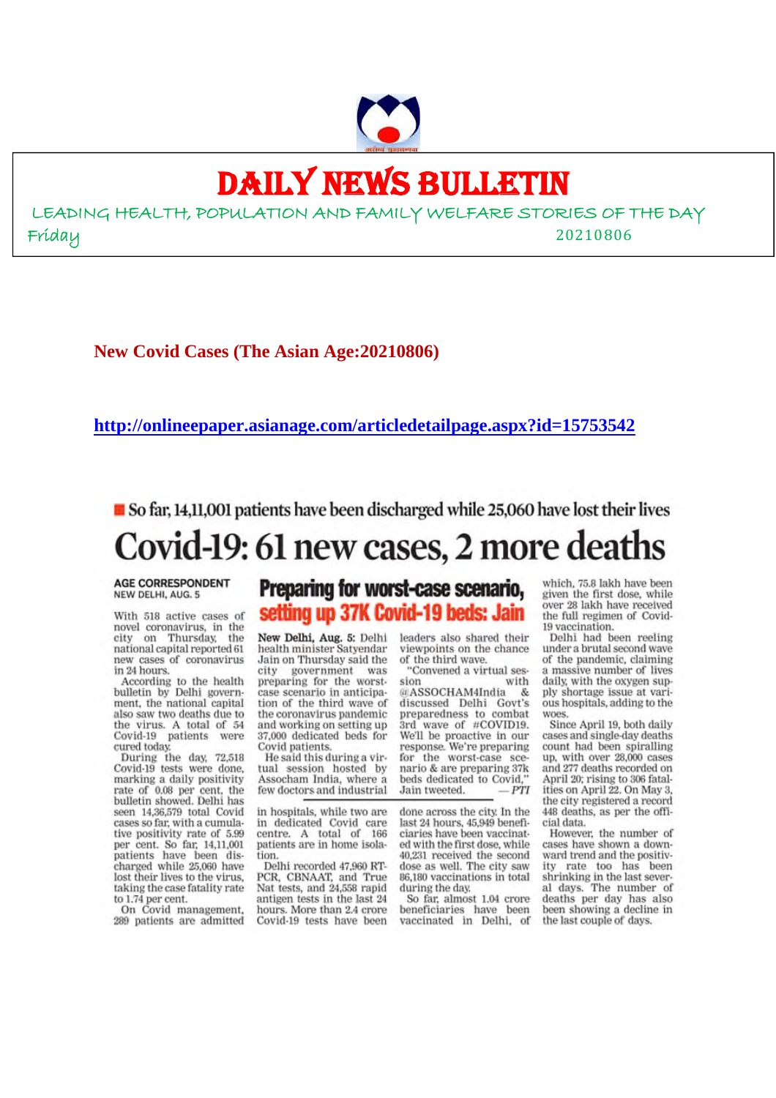# DAILY NEWS BULLETIN

LEADING HEALTH, POPULATION AND FAMILY WELFARE STORIES OF THE DAY Friday 20210806

**New Covid Cases (The Asian Age:20210806)**

#### **http://onlineepaper.asianage.com/articledetailpage.aspx?id=15753542**

So far, 14,11,001 patients have been discharged while 25,060 have lost their lives Covid-19: 61 new cases, 2 more deaths

#### **AGE CORRESPONDENT** NEW DELHI, AUG. 5

With 518 active cases of novel coronavirus, in the city on Thursday, the national capital reported 61 new cases of coronavirus in 24 hours.

According to the health bulletin by Delhi government, the national capital also saw two deaths due to the virus. A total of 54 Covid-19 patients were cured today.

During the day, 72,518 Covid-19 tests were done, marking a daily positivity rate of 0.08 per cent, the bulletin showed. Delhi has seen 14,36,579 total Covid cases so far, with a cumulative positivity rate of 5.99 per cent. So far, 14,11,001<br>patients have been discharged while 25,060 have lost their lives to the virus, taking the case fatality rate to 1.74 per cent.

On Covid management, 289 patients are admitted

# Preparing for worst-case scenario, setting up 37K Covid-19 beds: Jain

New Delhi, Aug. 5: Delhi health minister Satvendar Jain on Thursday said the city government was preparing for the worstcase scenario in anticipation of the third wave of the coronavirus pandemic and working on setting up 37,000 dedicated beds for Covid patients.

He said this during a virtual session hosted by<br>Assocham India, where a few doctors and industrial

in hospitals, while two are in dedicated Covid care centre. A total of 166 patients are in home isolation

Delhi recorded 47,960 RT-PCR, CBNAAT, and True Nat tests, and 24,558 rapid antigen tests in the last 24 hours. More than 2.4 crore Covid-19 tests have been

leaders also shared their viewpoints on the chance of the third wave.

"Convened a virtual session with @ASSOCHAM4India -& discussed Delhi Govt's preparedness to combat 3rd wave of #COVID19. We'll be proactive in our<br>response. We're preparing for the worst-case scenario & are preparing 37k beds dedicated to Covid," PTI Jain tweeted.

done across the city. In the last 24 hours, 45,949 beneficiaries have been vaccinated with the first dose, while 40,231 received the second dose as well. The city saw 86,180 vaccinations in total during the day.

So far, almost 1.04 crore beneficiaries have been vaccinated in Delhi, of which, 75.8 lakh have been given the first dose, while over 28 lakh have received the full regimen of Covid-19 vaccination.

Delhi had been reeling under a brutal second wave of the pandemic, claiming a massive number of lives daily, with the oxygen supply shortage issue at various hospitals, adding to the woes.

Since April 19, both daily cases and single-day deaths count had been spiralling up, with over 28,000 cases and 277 deaths recorded on April 20; rising to 306 fatalities on April 22. On May 3, the city registered a record 448 deaths, as per the official data.

However, the number of cases have shown a downward trend and the positivity rate too has been shrinking in the last several days. The number of deaths per day has also been showing a decline in the last couple of days.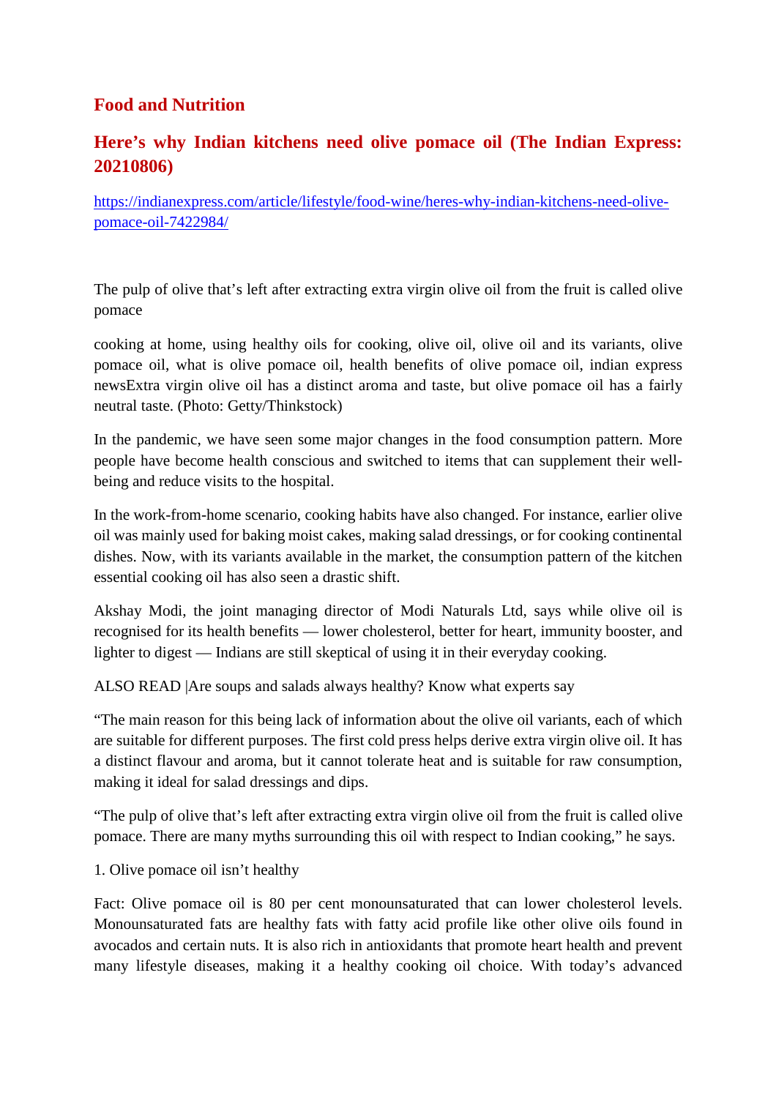#### **Food and Nutrition**

# **Here's why Indian kitchens need olive pomace oil (The Indian Express: 20210806)**

https://indianexpress.com/article/lifestyle/food-wine/heres-why-indian-kitchens-need-olivepomace-oil-7422984/

The pulp of olive that's left after extracting extra virgin olive oil from the fruit is called olive pomace

cooking at home, using healthy oils for cooking, olive oil, olive oil and its variants, olive pomace oil, what is olive pomace oil, health benefits of olive pomace oil, indian express newsExtra virgin olive oil has a distinct aroma and taste, but olive pomace oil has a fairly neutral taste. (Photo: Getty/Thinkstock)

In the pandemic, we have seen some major changes in the food consumption pattern. More people have become health conscious and switched to items that can supplement their wellbeing and reduce visits to the hospital.

In the work-from-home scenario, cooking habits have also changed. For instance, earlier olive oil was mainly used for baking moist cakes, making salad dressings, or for cooking continental dishes. Now, with its variants available in the market, the consumption pattern of the kitchen essential cooking oil has also seen a drastic shift.

Akshay Modi, the joint managing director of Modi Naturals Ltd, says while olive oil is recognised for its health benefits — lower cholesterol, better for heart, immunity booster, and lighter to digest — Indians are still skeptical of using it in their everyday cooking.

ALSO READ |Are soups and salads always healthy? Know what experts say

"The main reason for this being lack of information about the olive oil variants, each of which are suitable for different purposes. The first cold press helps derive extra virgin olive oil. It has a distinct flavour and aroma, but it cannot tolerate heat and is suitable for raw consumption, making it ideal for salad dressings and dips.

"The pulp of olive that's left after extracting extra virgin olive oil from the fruit is called olive pomace. There are many myths surrounding this oil with respect to Indian cooking," he says.

1. Olive pomace oil isn't healthy

Fact: Olive pomace oil is 80 per cent monounsaturated that can lower cholesterol levels. Monounsaturated fats are healthy fats with fatty acid profile like other olive oils found in avocados and certain nuts. It is also rich in antioxidants that promote heart health and prevent many lifestyle diseases, making it a healthy cooking oil choice. With today's advanced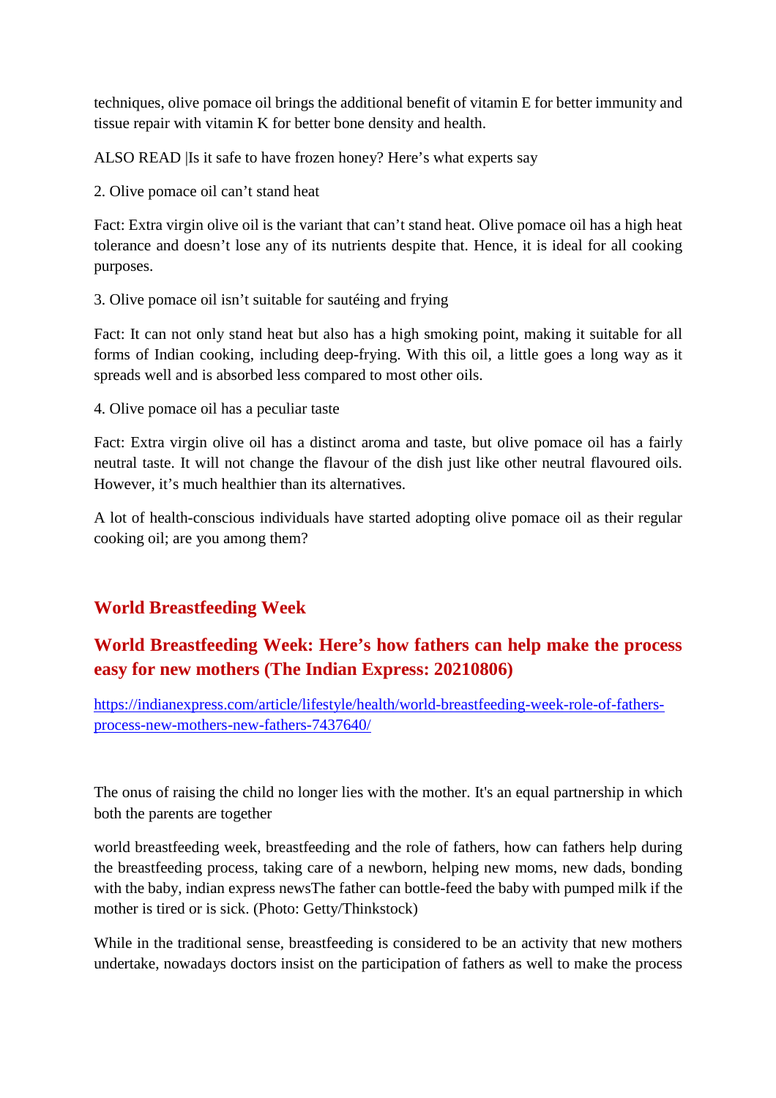techniques, olive pomace oil brings the additional benefit of vitamin E for better immunity and tissue repair with vitamin K for better bone density and health.

ALSO READ |Is it safe to have frozen honey? Here's what experts say

2. Olive pomace oil can't stand heat

Fact: Extra virgin olive oil is the variant that can't stand heat. Olive pomace oil has a high heat tolerance and doesn't lose any of its nutrients despite that. Hence, it is ideal for all cooking purposes.

3. Olive pomace oil isn't suitable for sautéing and frying

Fact: It can not only stand heat but also has a high smoking point, making it suitable for all forms of Indian cooking, including deep-frying. With this oil, a little goes a long way as it spreads well and is absorbed less compared to most other oils.

4. Olive pomace oil has a peculiar taste

Fact: Extra virgin olive oil has a distinct aroma and taste, but olive pomace oil has a fairly neutral taste. It will not change the flavour of the dish just like other neutral flavoured oils. However, it's much healthier than its alternatives.

A lot of health-conscious individuals have started adopting olive pomace oil as their regular cooking oil; are you among them?

#### **World Breastfeeding Week**

# **World Breastfeeding Week: Here's how fathers can help make the process easy for new mothers (The Indian Express: 20210806)**

https://indianexpress.com/article/lifestyle/health/world-breastfeeding-week-role-of-fathersprocess-new-mothers-new-fathers-7437640/

The onus of raising the child no longer lies with the mother. It's an equal partnership in which both the parents are together

world breastfeeding week, breastfeeding and the role of fathers, how can fathers help during the breastfeeding process, taking care of a newborn, helping new moms, new dads, bonding with the baby, indian express newsThe father can bottle-feed the baby with pumped milk if the mother is tired or is sick. (Photo: Getty/Thinkstock)

While in the traditional sense, breastfeeding is considered to be an activity that new mothers undertake, nowadays doctors insist on the participation of fathers as well to make the process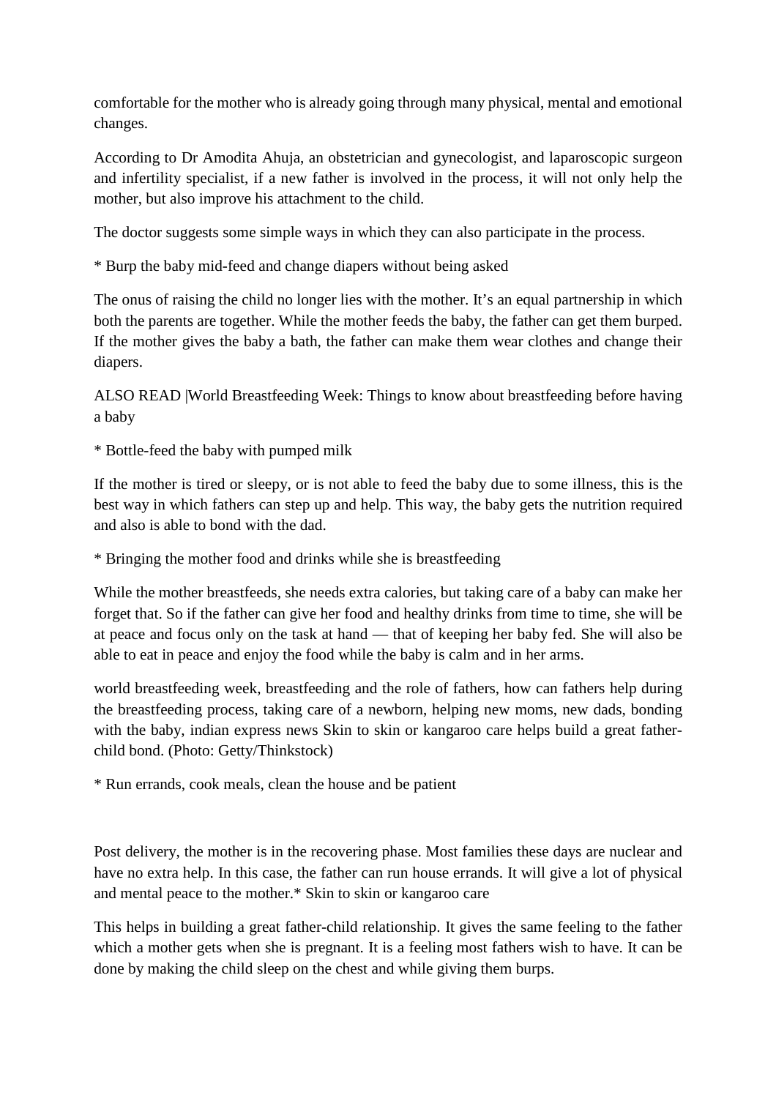comfortable for the mother who is already going through many physical, mental and emotional changes.

According to Dr Amodita Ahuja, an obstetrician and gynecologist, and laparoscopic surgeon and infertility specialist, if a new father is involved in the process, it will not only help the mother, but also improve his attachment to the child.

The doctor suggests some simple ways in which they can also participate in the process.

\* Burp the baby mid-feed and change diapers without being asked

The onus of raising the child no longer lies with the mother. It's an equal partnership in which both the parents are together. While the mother feeds the baby, the father can get them burped. If the mother gives the baby a bath, the father can make them wear clothes and change their diapers.

ALSO READ |World Breastfeeding Week: Things to know about breastfeeding before having a baby

\* Bottle-feed the baby with pumped milk

If the mother is tired or sleepy, or is not able to feed the baby due to some illness, this is the best way in which fathers can step up and help. This way, the baby gets the nutrition required and also is able to bond with the dad.

\* Bringing the mother food and drinks while she is breastfeeding

While the mother breastfeeds, she needs extra calories, but taking care of a baby can make her forget that. So if the father can give her food and healthy drinks from time to time, she will be at peace and focus only on the task at hand — that of keeping her baby fed. She will also be able to eat in peace and enjoy the food while the baby is calm and in her arms.

world breastfeeding week, breastfeeding and the role of fathers, how can fathers help during the breastfeeding process, taking care of a newborn, helping new moms, new dads, bonding with the baby, indian express news Skin to skin or kangaroo care helps build a great fatherchild bond. (Photo: Getty/Thinkstock)

\* Run errands, cook meals, clean the house and be patient

Post delivery, the mother is in the recovering phase. Most families these days are nuclear and have no extra help. In this case, the father can run house errands. It will give a lot of physical and mental peace to the mother.\* Skin to skin or kangaroo care

This helps in building a great father-child relationship. It gives the same feeling to the father which a mother gets when she is pregnant. It is a feeling most fathers wish to have. It can be done by making the child sleep on the chest and while giving them burps.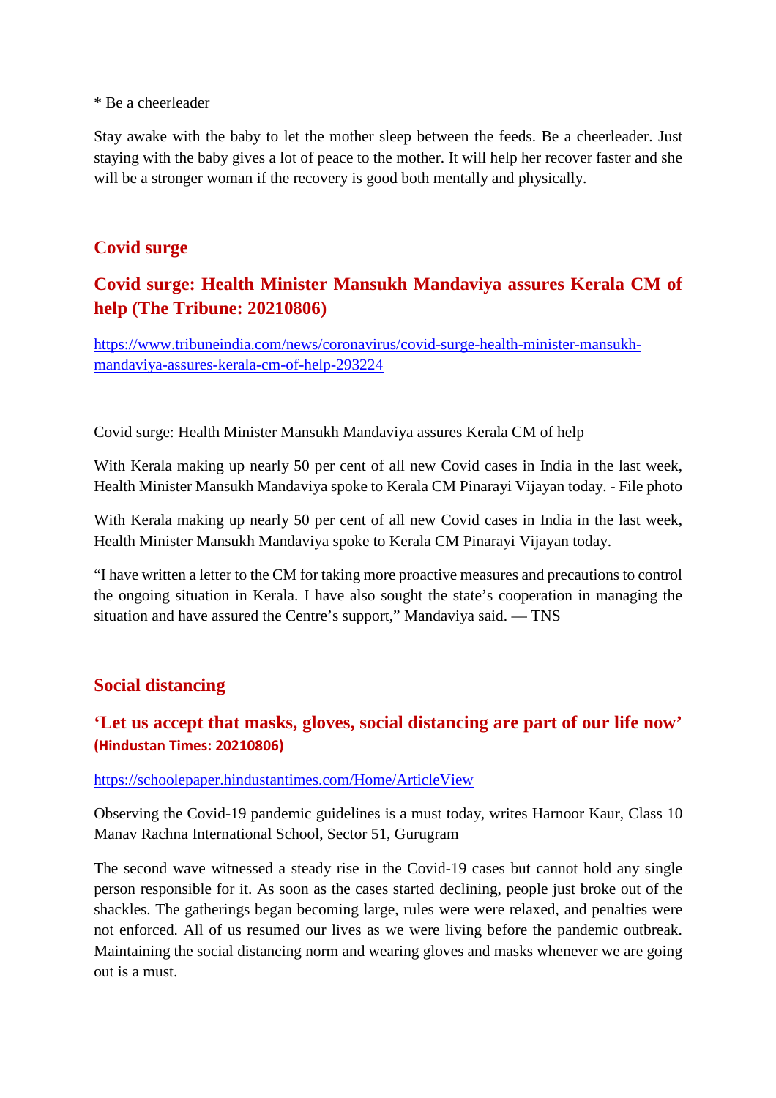#### \* Be a cheerleader

Stay awake with the baby to let the mother sleep between the feeds. Be a cheerleader. Just staying with the baby gives a lot of peace to the mother. It will help her recover faster and she will be a stronger woman if the recovery is good both mentally and physically.

#### **Covid surge**

# **Covid surge: Health Minister Mansukh Mandaviya assures Kerala CM of help (The Tribune: 20210806)**

https://www.tribuneindia.com/news/coronavirus/covid-surge-health-minister-mansukhmandaviya-assures-kerala-cm-of-help-293224

Covid surge: Health Minister Mansukh Mandaviya assures Kerala CM of help

With Kerala making up nearly 50 per cent of all new Covid cases in India in the last week, Health Minister Mansukh Mandaviya spoke to Kerala CM Pinarayi Vijayan today. - File photo

With Kerala making up nearly 50 per cent of all new Covid cases in India in the last week, Health Minister Mansukh Mandaviya spoke to Kerala CM Pinarayi Vijayan today.

"I have written a letter to the CM for taking more proactive measures and precautions to control the ongoing situation in Kerala. I have also sought the state's cooperation in managing the situation and have assured the Centre's support," Mandaviya said. — TNS

#### **Social distancing**

#### **'Let us accept that masks, gloves, social distancing are part of our life now' (Hindustan Times: 20210806)**

#### https://schoolepaper.hindustantimes.com/Home/ArticleView

Observing the Covid-19 pandemic guidelines is a must today, writes Harnoor Kaur, Class 10 Manav Rachna International School, Sector 51, Gurugram

The second wave witnessed a steady rise in the Covid-19 cases but cannot hold any single person responsible for it. As soon as the cases started declining, people just broke out of the shackles. The gatherings began becoming large, rules were were relaxed, and penalties were not enforced. All of us resumed our lives as we were living before the pandemic outbreak. Maintaining the social distancing norm and wearing gloves and masks whenever we are going out is a must.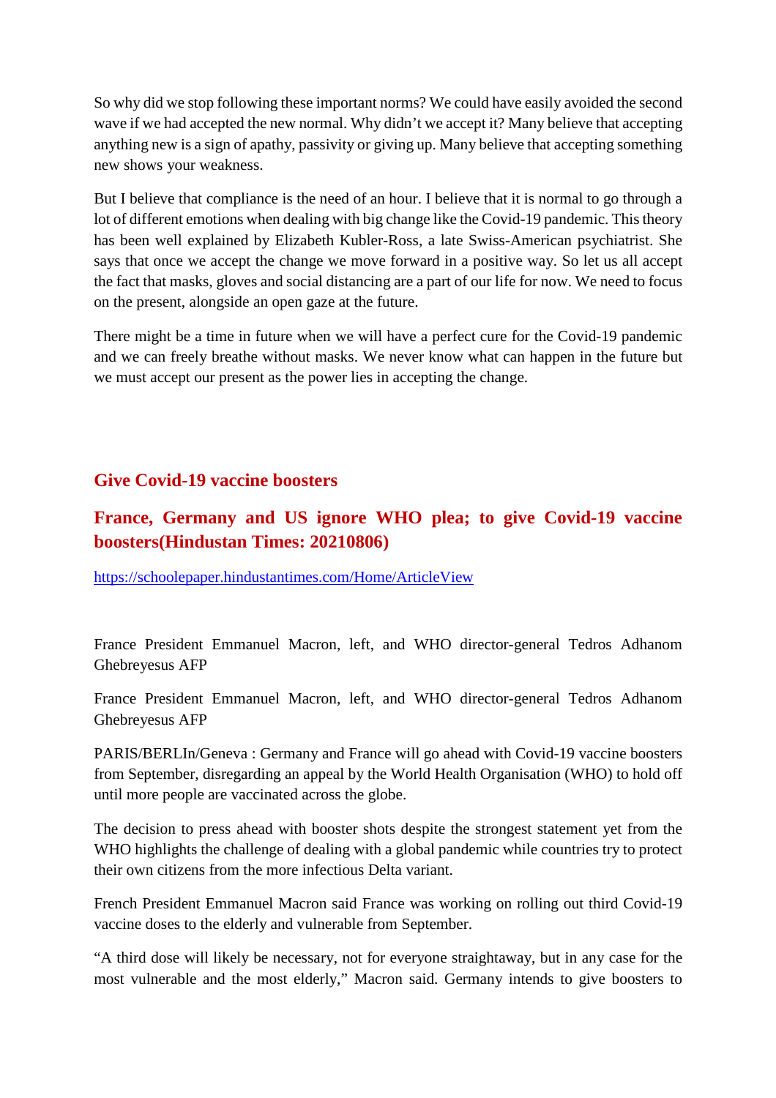So why did we stop following these important norms? We could have easily avoided the second wave if we had accepted the new normal. Why didn't we accept it? Many believe that accepting anything new is a sign of apathy, passivity or giving up. Many believe that accepting something new shows your weakness.

But I believe that compliance is the need of an hour. I believe that it is normal to go through a lot of different emotions when dealing with big change like the Covid-19 pandemic. This theory has been well explained by Elizabeth Kubler-Ross, a late Swiss-American psychiatrist. She says that once we accept the change we move forward in a positive way. So let us all accept the fact that masks, gloves and social distancing are a part of our life for now. We need to focus on the present, alongside an open gaze at the future.

There might be a time in future when we will have a perfect cure for the Covid-19 pandemic and we can freely breathe without masks. We never know what can happen in the future but we must accept our present as the power lies in accepting the change.

#### **Give Covid-19 vaccine boosters**

# **France, Germany and US ignore WHO plea; to give Covid-19 vaccine boosters(Hindustan Times: 20210806)**

https://schoolepaper.hindustantimes.com/Home/ArticleView

France President Emmanuel Macron, left, and WHO director-general Tedros Adhanom Ghebreyesus AFP

France President Emmanuel Macron, left, and WHO director-general Tedros Adhanom Ghebreyesus AFP

PARIS/BERLIn/Geneva : Germany and France will go ahead with Covid-19 vaccine boosters from September, disregarding an appeal by the World Health Organisation (WHO) to hold off until more people are vaccinated across the globe.

The decision to press ahead with booster shots despite the strongest statement yet from the WHO highlights the challenge of dealing with a global pandemic while countries try to protect their own citizens from the more infectious Delta variant.

French President Emmanuel Macron said France was working on rolling out third Covid-19 vaccine doses to the elderly and vulnerable from September.

"A third dose will likely be necessary, not for everyone straightaway, but in any case for the most vulnerable and the most elderly," Macron said. Germany intends to give boosters to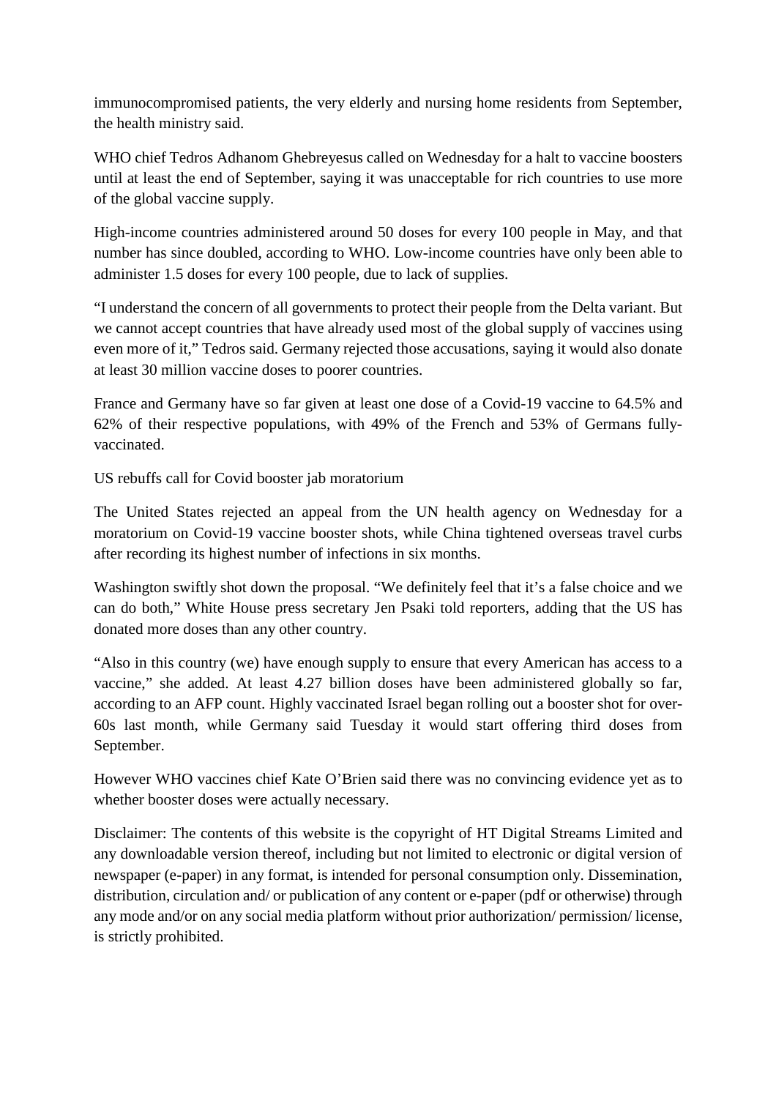immunocompromised patients, the very elderly and nursing home residents from September, the health ministry said.

WHO chief Tedros Adhanom Ghebreyesus called on Wednesday for a halt to vaccine boosters until at least the end of September, saying it was unacceptable for rich countries to use more of the global vaccine supply.

High-income countries administered around 50 doses for every 100 people in May, and that number has since doubled, according to WHO. Low-income countries have only been able to administer 1.5 doses for every 100 people, due to lack of supplies.

"I understand the concern of all governments to protect their people from the Delta variant. But we cannot accept countries that have already used most of the global supply of vaccines using even more of it," Tedros said. Germany rejected those accusations, saying it would also donate at least 30 million vaccine doses to poorer countries.

France and Germany have so far given at least one dose of a Covid-19 vaccine to 64.5% and 62% of their respective populations, with 49% of the French and 53% of Germans fullyvaccinated.

US rebuffs call for Covid booster jab moratorium

The United States rejected an appeal from the UN health agency on Wednesday for a moratorium on Covid-19 vaccine booster shots, while China tightened overseas travel curbs after recording its highest number of infections in six months.

Washington swiftly shot down the proposal. "We definitely feel that it's a false choice and we can do both," White House press secretary Jen Psaki told reporters, adding that the US has donated more doses than any other country.

"Also in this country (we) have enough supply to ensure that every American has access to a vaccine," she added. At least 4.27 billion doses have been administered globally so far, according to an AFP count. Highly vaccinated Israel began rolling out a booster shot for over-60s last month, while Germany said Tuesday it would start offering third doses from September.

However WHO vaccines chief Kate O'Brien said there was no convincing evidence yet as to whether booster doses were actually necessary.

Disclaimer: The contents of this website is the copyright of HT Digital Streams Limited and any downloadable version thereof, including but not limited to electronic or digital version of newspaper (e-paper) in any format, is intended for personal consumption only. Dissemination, distribution, circulation and/ or publication of any content or e-paper (pdf or otherwise) through any mode and/or on any social media platform without prior authorization/ permission/ license, is strictly prohibited.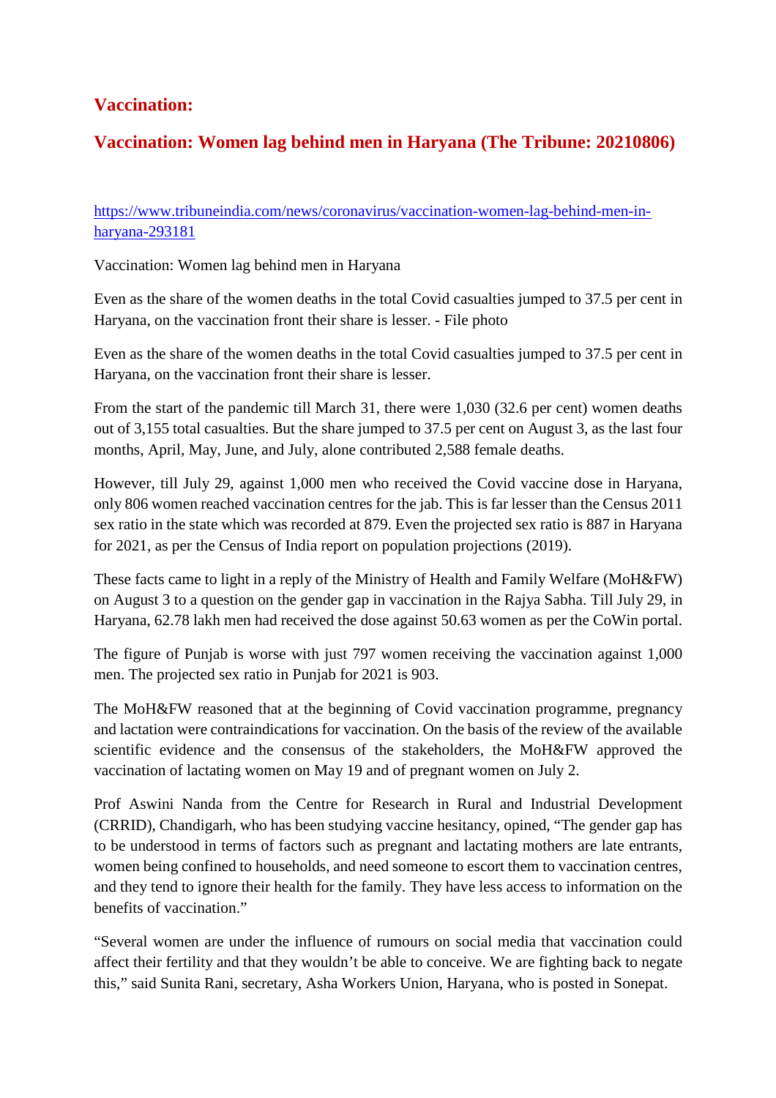#### **Vaccination:**

#### **Vaccination: Women lag behind men in Haryana (The Tribune: 20210806)**

https://www.tribuneindia.com/news/coronavirus/vaccination-women-lag-behind-men-inharyana-293181

Vaccination: Women lag behind men in Haryana

Even as the share of the women deaths in the total Covid casualties jumped to 37.5 per cent in Haryana, on the vaccination front their share is lesser. - File photo

Even as the share of the women deaths in the total Covid casualties jumped to 37.5 per cent in Haryana, on the vaccination front their share is lesser.

From the start of the pandemic till March 31, there were 1,030 (32.6 per cent) women deaths out of 3,155 total casualties. But the share jumped to 37.5 per cent on August 3, as the last four months, April, May, June, and July, alone contributed 2,588 female deaths.

However, till July 29, against 1,000 men who received the Covid vaccine dose in Haryana, only 806 women reached vaccination centres for the jab. This is far lesser than the Census 2011 sex ratio in the state which was recorded at 879. Even the projected sex ratio is 887 in Haryana for 2021, as per the Census of India report on population projections (2019).

These facts came to light in a reply of the Ministry of Health and Family Welfare (MoH&FW) on August 3 to a question on the gender gap in vaccination in the Rajya Sabha. Till July 29, in Haryana, 62.78 lakh men had received the dose against 50.63 women as per the CoWin portal.

The figure of Punjab is worse with just 797 women receiving the vaccination against 1,000 men. The projected sex ratio in Punjab for 2021 is 903.

The MoH&FW reasoned that at the beginning of Covid vaccination programme, pregnancy and lactation were contraindications for vaccination. On the basis of the review of the available scientific evidence and the consensus of the stakeholders, the MoH&FW approved the vaccination of lactating women on May 19 and of pregnant women on July 2.

Prof Aswini Nanda from the Centre for Research in Rural and Industrial Development (CRRID), Chandigarh, who has been studying vaccine hesitancy, opined, "The gender gap has to be understood in terms of factors such as pregnant and lactating mothers are late entrants, women being confined to households, and need someone to escort them to vaccination centres, and they tend to ignore their health for the family. They have less access to information on the benefits of vaccination."

"Several women are under the influence of rumours on social media that vaccination could affect their fertility and that they wouldn't be able to conceive. We are fighting back to negate this," said Sunita Rani, secretary, Asha Workers Union, Haryana, who is posted in Sonepat.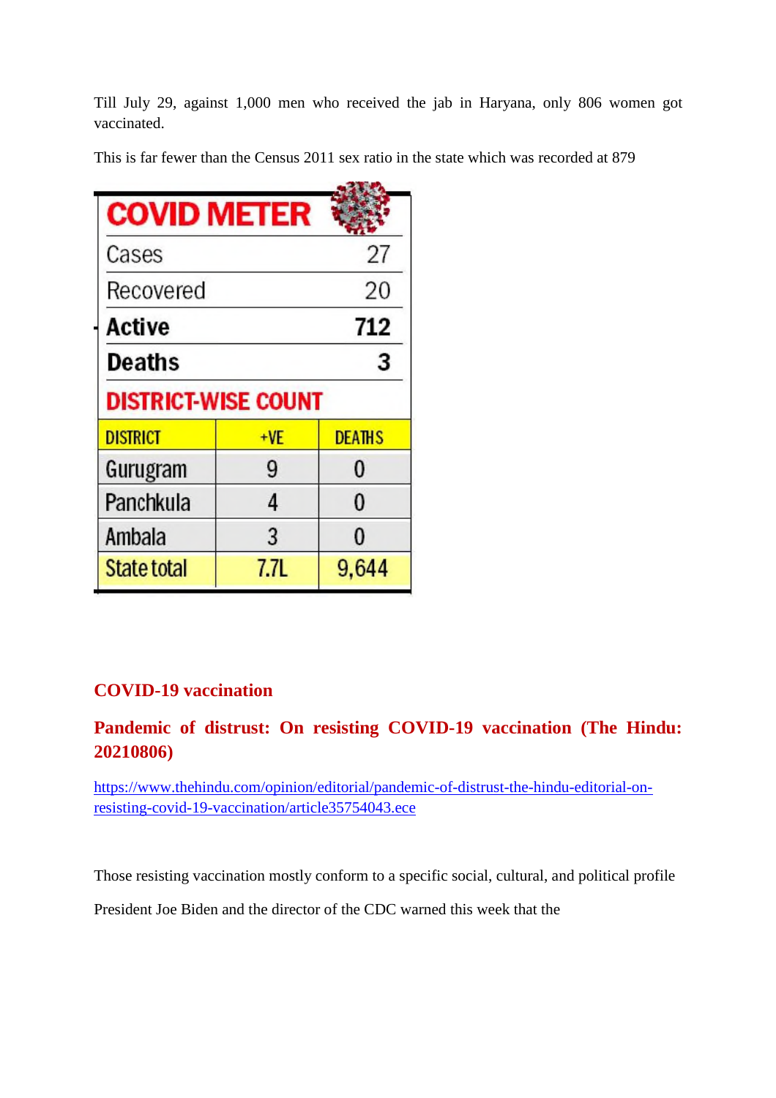Till July 29, against 1,000 men who received the jab in Haryana, only 806 women got vaccinated.

This is far fewer than the Census 2011 sex ratio in the state which was recorded at 879

| <b>COVID METER</b>         |       |               |
|----------------------------|-------|---------------|
| Cases                      |       | 27            |
| Recovered                  |       | 20            |
| Active                     |       | 712           |
| Deaths                     |       | 3             |
| <b>DISTRICT-WISE COUNT</b> |       |               |
| <b>DISTRICT</b>            | $+VE$ | <b>DEATHS</b> |
| Gurugram                   | 9     | 0             |
| Panchkula                  | 4     | 0             |
| Ambala                     | 3     | $\Omega$      |
| State total                | 7.7L  | 9.644         |

#### **COVID-19 vaccination**

#### **Pandemic of distrust: On resisting COVID-19 vaccination (The Hindu: 20210806)**

https://www.thehindu.com/opinion/editorial/pandemic-of-distrust-the-hindu-editorial-onresisting-covid-19-vaccination/article35754043.ece

Those resisting vaccination mostly conform to a specific social, cultural, and political profile

President Joe Biden and the director of the CDC warned this week that the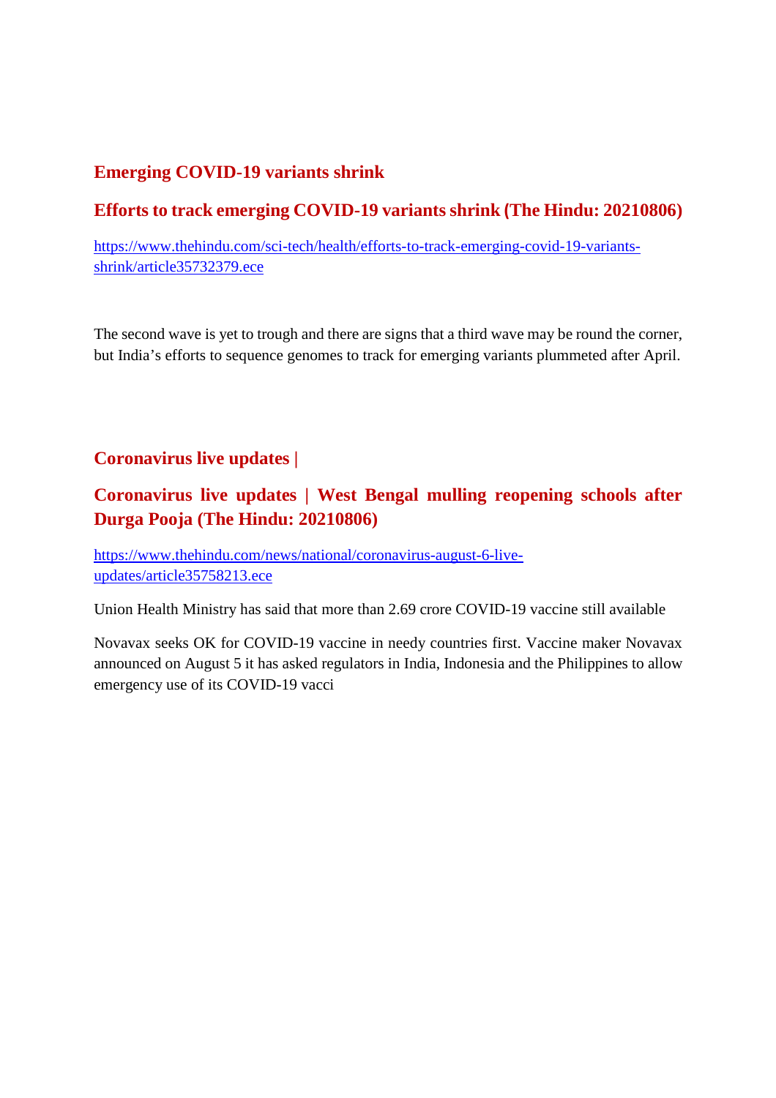#### **Emerging COVID-19 variants shrink**

# **Efforts to track emerging COVID-19 variants shrink (The Hindu: 20210806)**

https://www.thehindu.com/sci-tech/health/efforts-to-track-emerging-covid-19-variantsshrink/article35732379.ece

The second wave is yet to trough and there are signs that a third wave may be round the corner, but India's efforts to sequence genomes to track for emerging variants plummeted after April.

#### **Coronavirus live updates |**

#### **Coronavirus live updates | West Bengal mulling reopening schools after Durga Pooja (The Hindu: 20210806)**

https://www.thehindu.com/news/national/coronavirus-august-6-liveupdates/article35758213.ece

Union Health Ministry has said that more than 2.69 crore COVID-19 vaccine still available

Novavax seeks OK for COVID-19 vaccine in needy countries first. Vaccine maker Novavax announced on August 5 it has asked regulators in India, Indonesia and the Philippines to allow emergency use of its COVID-19 vacci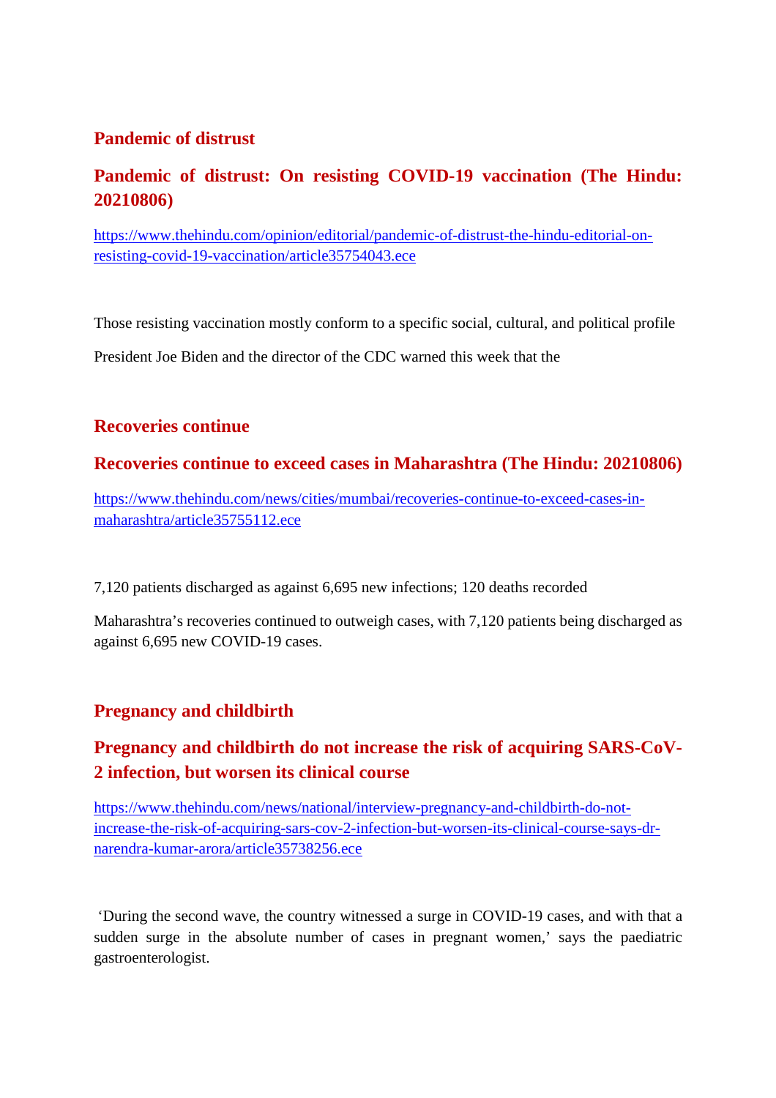#### **Pandemic of distrust**

#### **Pandemic of distrust: On resisting COVID-19 vaccination (The Hindu: 20210806)**

https://www.thehindu.com/opinion/editorial/pandemic-of-distrust-the-hindu-editorial-onresisting-covid-19-vaccination/article35754043.ece

Those resisting vaccination mostly conform to a specific social, cultural, and political profile

President Joe Biden and the director of the CDC warned this week that the

#### **Recoveries continue**

#### **Recoveries continue to exceed cases in Maharashtra (The Hindu: 20210806)**

https://www.thehindu.com/news/cities/mumbai/recoveries-continue-to-exceed-cases-inmaharashtra/article35755112.ece

7,120 patients discharged as against 6,695 new infections; 120 deaths recorded

Maharashtra's recoveries continued to outweigh cases, with 7,120 patients being discharged as against 6,695 new COVID-19 cases.

#### **Pregnancy and childbirth**

# **Pregnancy and childbirth do not increase the risk of acquiring SARS-CoV-2 infection, but worsen its clinical course**

https://www.thehindu.com/news/national/interview-pregnancy-and-childbirth-do-notincrease-the-risk-of-acquiring-sars-cov-2-infection-but-worsen-its-clinical-course-says-drnarendra-kumar-arora/article35738256.ece

'During the second wave, the country witnessed a surge in COVID-19 cases, and with that a sudden surge in the absolute number of cases in pregnant women,' says the paediatric gastroenterologist.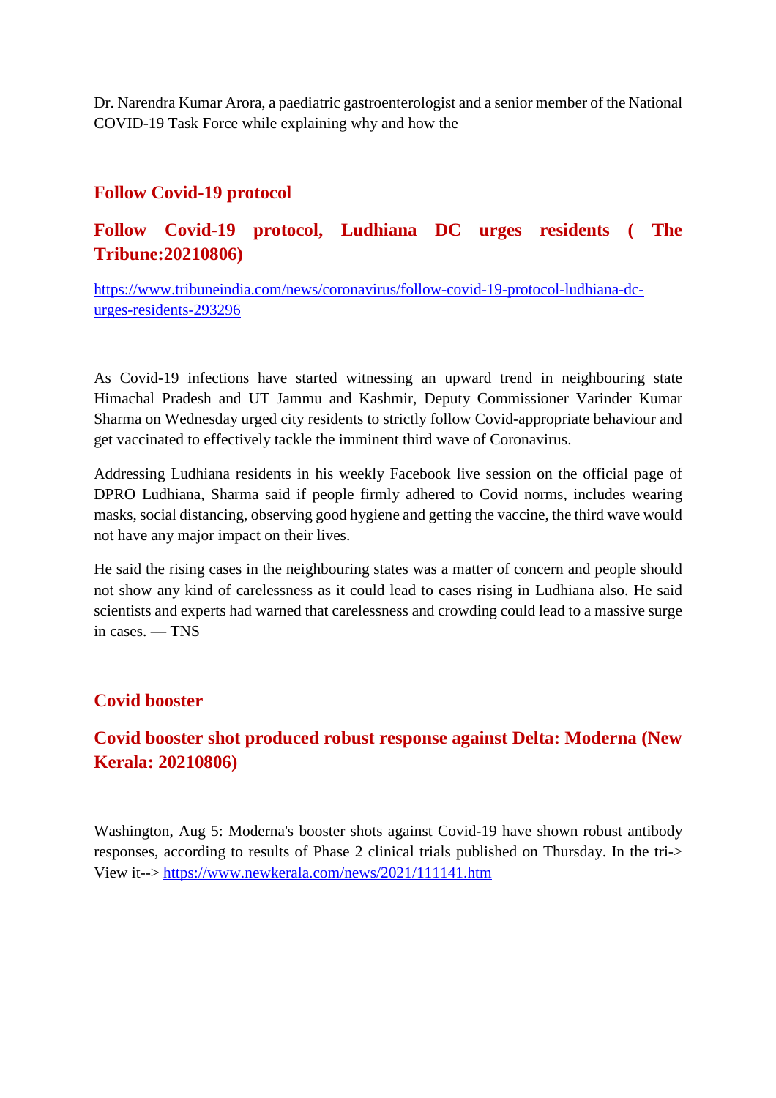Dr. Narendra Kumar Arora, a paediatric gastroenterologist and a senior member of the National COVID-19 Task Force while explaining why and how the

#### **Follow Covid-19 protocol**

#### **Follow Covid-19 protocol, Ludhiana DC urges residents ( The Tribune:20210806)**

https://www.tribuneindia.com/news/coronavirus/follow-covid-19-protocol-ludhiana-dcurges-residents-293296

As Covid-19 infections have started witnessing an upward trend in neighbouring state Himachal Pradesh and UT Jammu and Kashmir, Deputy Commissioner Varinder Kumar Sharma on Wednesday urged city residents to strictly follow Covid-appropriate behaviour and get vaccinated to effectively tackle the imminent third wave of Coronavirus.

Addressing Ludhiana residents in his weekly Facebook live session on the official page of DPRO Ludhiana, Sharma said if people firmly adhered to Covid norms, includes wearing masks, social distancing, observing good hygiene and getting the vaccine, the third wave would not have any major impact on their lives.

He said the rising cases in the neighbouring states was a matter of concern and people should not show any kind of carelessness as it could lead to cases rising in Ludhiana also. He said scientists and experts had warned that carelessness and crowding could lead to a massive surge in cases. — TNS

#### **Covid booster**

# **Covid booster shot produced robust response against Delta: Moderna (New Kerala: 20210806)**

Washington, Aug 5: Moderna's booster shots against Covid-19 have shown robust antibody responses, according to results of Phase 2 clinical trials published on Thursday. In the tri-> View it--> https://www.newkerala.com/news/2021/111141.htm